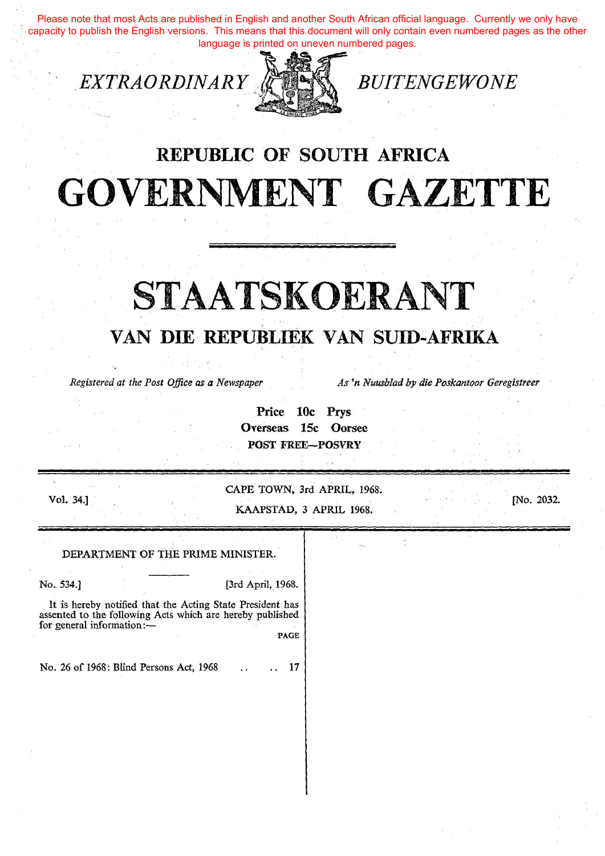Please note that most Acts are published in English and another South African official language. Currently we only have capacity to publish the English versions. This means that this document will only contain even numbered pages as the other language is printed on uneven numbered pages.

*.EXTRAORDINARY* 



**BUITENGEWONE** 

## **REPUBLIC OF SOUTH AFRICA GOVERNMENT GAZETTE**

# **STAATSKOERANT VAN DIE REPUBLIEK VAN SUID-AFRIKA**

*Registered at the Post Office as a Newspaper As 'n Nuusblad by die Poskantoor Geregistreer* 

**Price tOe Prys Overseas 15c Oorsee POST FREE-POSVRY** 

Vol. 34.]

CAPE TOWN, 3rd APRIL, 1968.

K.AAPSTAD, 3 APRIL 1968.

[No. 2032.

## DEPARTMENT OF THE PRIME MINISTER.

No. 534.] [3rd April, 1968.

It is hereby notified that the Acting State President has assented to the following Acts which are hereby published for general information:-

PAGE

No. 31 of 1968: South African Indian Council Act, No. 31 van 1968: Wet op die Suid-Afrikaanse Indier-

Spirits Amendment Act, 1968 te Drank en Spiritualiee, 1968. . . 54

 $1968$  . The state of the state of the state of the state of the state of the state of the state of the state of the state of the state of the state of the state of the state of the state of the state of the state of the

No. 26 of 1968: Blind Persons Act, 1968 .. 17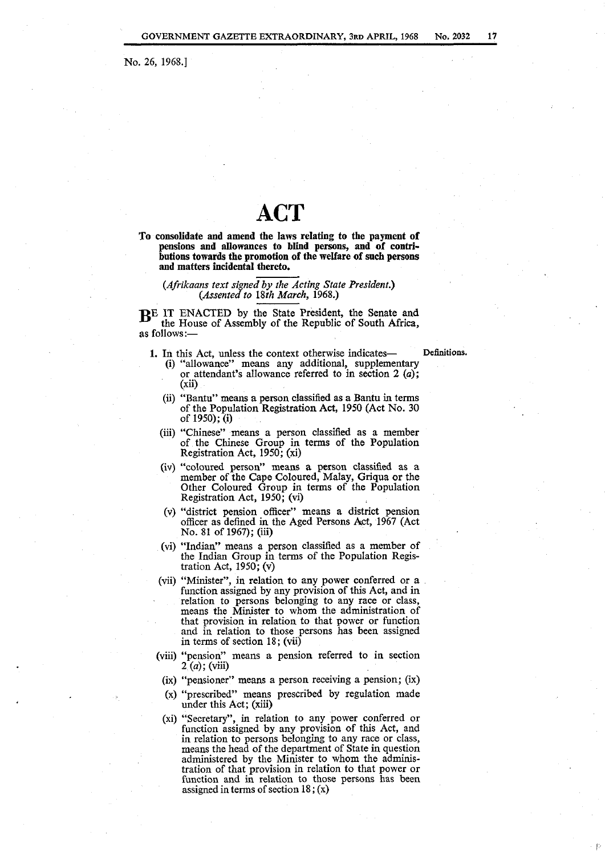No. 26, 1968.]

### **ACT**

To consolidate and amend the laws relating to the payment of pensions and allowances to blind persons, and of contributions towards the promotion of the weHare of such persons and matters incidental thereto.

### *(Afrikaans text signed by the Acting State President.) (Assented to* 18th *March,* 1968.)

BE IT ENACTED by the State President, the Senate and the House of Assembly of the Republic of South Africa, as follows:-

- 1. In this Act, unless the context otherwise indicates- Definitions. (i) "allowance" means any additional, supplementary or attendant's allowance referred to in section  $2(a)$ ; (xii)
	- (ii) "Bantu" means a person classified as a Bantu in terms of the Population Registration Act, 1950 (Act No. 30 of 1950); (i)
	- (iii) "Chinese" means a person classified as a member of the Chinese Group in terms of the Population Registration Act, 1950; (xi)
	- (iv) "coloured person" means a person classified as a member of the Cape Coloured, Malay, Griqua or the Other Coloured Group in terms of the Population Registration Act, 1950; (vi)
	- (v) "district pension officer" means a district pension officer as defined in the Aged Persons Act, 1967 (Act No. 81 of 1967); (iii)
	- (vi) "Indian" means a person classified as a member of the Indian Group in terms of the Population Registration Act, 1950; (v)
	- (vii) "Minister", in relation to any power conferred or a function assigned by any provision of this Act, and in relation to persons belonging to any race or class, means the Minister to whom the administration of that provision in relation to that power or function and in relation to those persons has been assigned in terms of section 18; (vii)
	- (viii) "pension" means a pension referred to in section  $2(a)$ ; (viii)
	- (ix) "pensioner" means a person receiving a pension; (ix)
	- (x) "prescribed" means prescribed by regulation made under this Act; (xiii)
	- (xi) "Secretary", in relation to any power conferred or function assigned by any provision of this Act, and in relation to persons belonging to any race or class, means the head of the department of State in question administered by the Minister to whom the administration of that provision in relation to that power or function and in relation to those persons has been assigned in terms of section  $18$ ;  $(x)$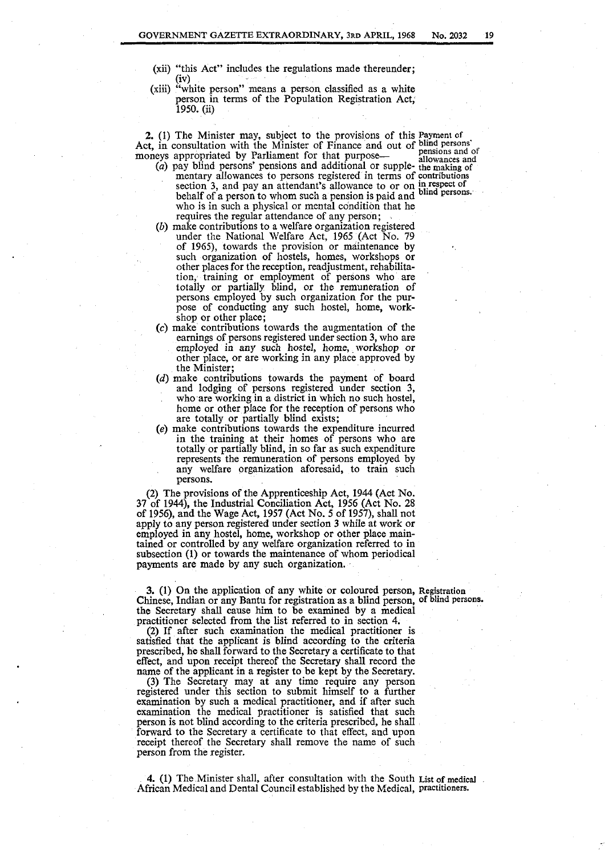- (xii) "this Act" includes the regulations made thereunder; (iv)
- (xiii) "white person" means a person classified as a white person in terms of the Population Registration Act; 1950. (ii)

2. (1) The Minister may, subject to the provisions of this Payment of Act, in consultation with the Minister of Finance and out of blind persons' moneys appropriated by Parliament for that purpose—<br>allowances and moneys appropriated by Parliament for that purpose-

- (a) pay blind persons' pensions and additional or supple- the making of mentary allowances to persons registered in terms of contributions section 3, and pay an attendant's allowance to or on  $\frac{1}{n}$  respect of behalf of a person to whom such a pension is paid and <sup>blind persons.</sup> who is in such a physical or mental condition that he requires the regular attendance of any person;
- (b) make contributions to a welfare organization registered under the National Welfare Act, 1965 (Act No. 79 of 1965), towards the provision or maintenance by such organization of hostels, homes, workshops or other places for the reception, readjustment, rehabilitation, training or employment of persons who are totally or partially blind, or the remuneration of persons employed by such organization for the purpose of conducting any such hostel, home, workshop or other place;
- (c) make contributions towards the augmentation of the earnings of persons registered under section 3, who are employed in any such hostel, home, workshop or other place, or are working in any place approved by the Minister;
- (d) make contributions towards the payment of board and lodging of persons registered under section 3, who are working in a district in which no such hostel, home or other place for the reception of persons who are totally or partially blind exists;
- (e) make contributions towards the expenditure incurred in the training at their homes of persons who are totally or partially blind, in so far as such expenditure represents the remuneration of persons employed by any welfare organization aforesaid, to train such persons.

(2) The provisions of the Apprenticeship Act, 1944 (Act No. 37 of 1944), the Industrial Conciliation Act, 1956 (Act No. 28 of 1956), and the Wage Act, 1957 (Act No. *5* of 1957), shall not apply to any person registered under section 3 while at work or employed in any hostel, home, workshop or other place maintained or controlled by any welfare organization referred to in subsection (1) or towards the maintenance of whom periodical payments are made by any such organization. ·

3. (1) On the application of any white or coloured person, Registration Chinese, Indian or any Bantu for registration as a blind person, of blind persons. the Secretary shall cause him to be examined by a medical practitioner selected from the list referred to in section 4;

(2) If after such examination the medical practitioner is satisfied that the applicant is blind according to the criteria prescribed, he shall forward to the Secretary a certificate to that effect, and upon receipt thereof the Secretary shall record the name of the applicant in a register to be kept by the Secretary.

(3) The Secretary may at any time require any person registered under this section to submit himself to a further examination by such a medical practitioner, and if after such examination the medical practitioner is satisfied that such person is not blind according to the criteria prescribed, he shall forward to the Secretary a certificate to that effect, and upon receipt thereof the Secretary shall remove the name of such person from the register.

4. (1) The Minister shall, after consultation with the South List of medical African Medical and Dental Council established by the Medical, practitioners.

pensions and of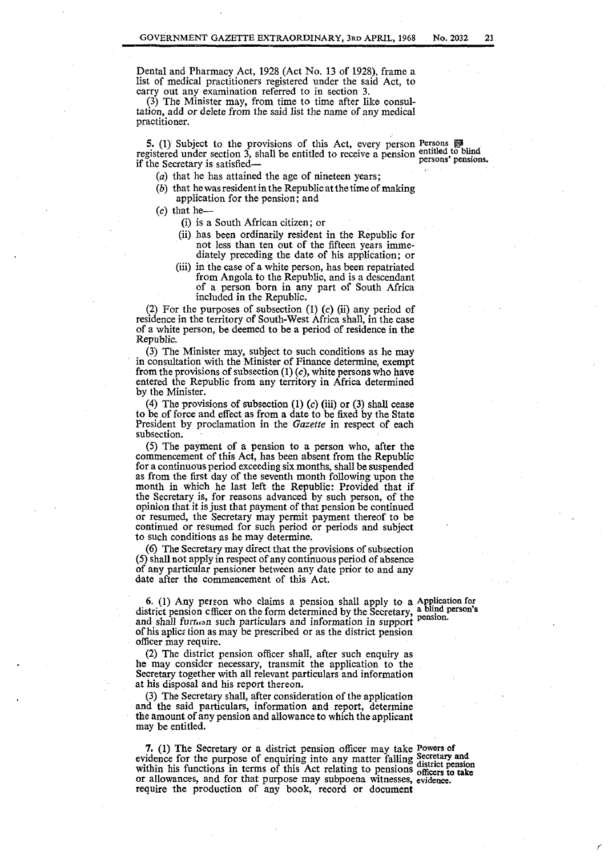Dental and Pharmacy Act, 1928 (Act No. 13 of 1928), frame a list of medical practitioners registered under the said Act, to carry out any examination referred to in section 3.

(3) The Minister may, from time to time after like consultation, add or delete from the said list the name of any medical practitioner.

5. (1) Subject to the provisions of this Act, every person Persons  $\frac{1}{100}$  registered under section 3, shall be entitled to receive a pension entitled to hereons if the Secretary is satisfied—

(a) that he has attained the age of nineteen years;

(b) that he was resident in the Republic at the time of making application for the pension; and

 $(c)$  that he-

- (i) is a South African citizen; or
- (ii) has been ordinarily resident in the Republic for not less than ten out of the fifteen years immediately preceding the date of his application; or
- (iii) in the case of a white person, has been repatriated from Angola to the Republic, and is a descendant of a person born in any part of South Africa included in the Republic.

(2) For the purposes of subsection (1) (c) (ii) any period of residence in the territory of South-West Africa shall, in the case of a white person, be deemed to be a period of residence in the Republic.

(3) The Minister may, subject to such conditions as he may in consultation with the Minister of Finance determine, exempt from the provisions of subsection  $(1)(c)$ , white persons who have entered the Republic from any territory in Africa determined by the Minister.

4) The provisions of subsection  $(1)$   $(c)$  (iii) or  $(3)$  shall cease to be of force and effect as from a date to be fixed by the State President by proclamation in the *Gazette* in respect of each subsection.

(5) The payment of a pension to a person who, after the commencement of this Act, has been absent from the Republic for a continuous period exceeding six months, shall be suspended as from the first day of the seventh month following upon the month in which he last left the Republic: Provided that if the Secretary is, for reasons advanced by such person, of the opinion that it is just that payment of that pension be continued or resumed, the Secretary may permit payment thereof to be continued or resumed for such period or periods and subject to such conditions as he may determine.

(6) The Secretary may direct that the provisions of subsection (5) shall not apply in respect of any continuous period of absence of any particular pensioner between any date prior to and any date after the commencement of this Act.

6. (1) Any person who claims a pension shall apply to a Application for district pension cfficer on the form determined by the Secretary, a blind person's and shall furman such particulars and information in support pension. of his aplicz tion as may be prescribed or as the district pension officer may require.

(2) The district pension officer shall, after such enquiry as he may consider necessary, transmit the application to the Secretary together with all relevant particulars and information at his disposal and his report thereon.

(3) The Secretary shall, after consideration of the application and the said particulars, information and report, determine the amount of any pension and allowance to which the applicant may be entitled.

7. (1) The Secretary or a district pension officer may take Powers of evidence for the purpose of enquiring into any matter falling Secretary and<br>within his functions in terms of this Act relating to pansions district pensio within his functions in terms of this Act relating to pensions officers to take or allowances, and for that purpose may subpoena witnesses, evidence. require the production of any book, record or document

 $\overline{f}$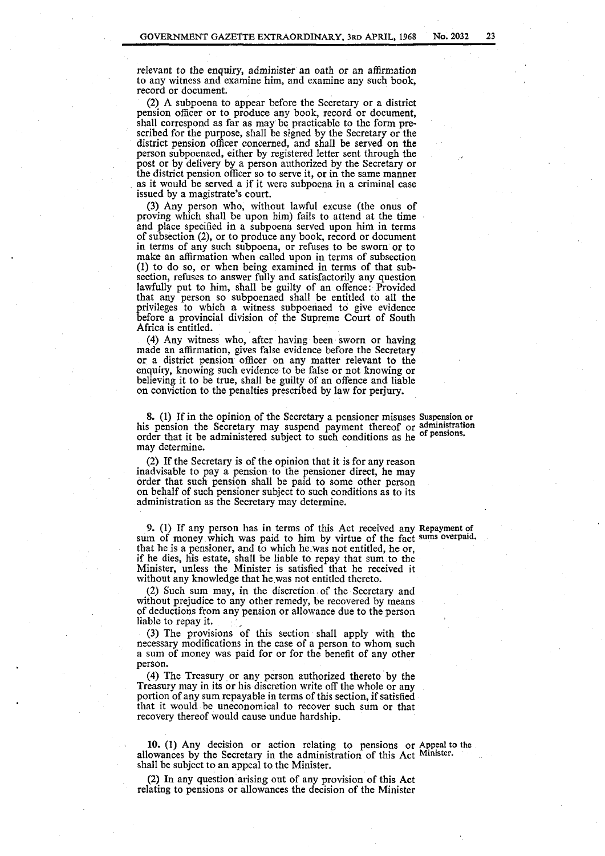relevant to the enquiry, administer an oath or an affirmation to any witness and examine him, and examine any such book, record or document.

(2) A subpoena to appear before the Secretary or a district pension officer or to produce any book, record or document, shall correspond as far as may be practicable to the form prescribed for the purpose, shall be signed by the Secretary or the district pension officer concerned, and shall be served on the person subpoenaed, either by registered letter sent through the post or by delivery by a person authorized by the Secretary or the district pension officer so to serve it, or in the same manner as it would be served a if it were subpoena in a criminal case issued by a magistrate's court.

(3) Any person who, without lawful excuse (the onus of proving which shall be upon him) fails to attend at the time and place specified in a subpoena served upon him in terms of subsection (2), or to produce any book, record or document in terms of any such subpoena, or refuses to be sworn or to make an affirmation when called upon in terms of subsection (1) to do so, or when being examined in terms of that subsection, refuses to answer fully and satisfactorily any question lawfully put to him, shall be guilty of an offence: Provided that any person so subpoenaed shall be entitled to all the privileges to which a witness subpoenaed to give evidence before a provincial division of the Supreme Court of South Africa is entitled.

(4) Any witness who, after having been sworn or having made an affirmation, gives false evidence before the Secretary or a district pension officer on any matter relevant to the enquiry, knowing such evidence to be false or not knowing or believing it to be true, shall be guilty of an offence and liable on conviction to the penalties prescribed by law for perjury.

8. (1) If in the opinion of the Secretary a pensioner misuses Suspension or his pension the Secretary may suspend payment thereof or administration order that it be administered subject to such conditions as he of pensions. may determine.

(2) If the Secretary is of the opinion that it is for any reason inadvisable to pay a pension to the pensioner direct, he may order that such pension shall be paid to some other person on behalf of such pensioner subject to such conditions as to its administration as the Secretary may determine.

9. (1) If any person has in terms of this Act received any Repayment of sum of money. which was paid to him by virtue of the fact sums overpatd. that he is a pensioner, and to which he was not entitled, he or, if he dies, his estate, shall be liable to repay that sum. to the Minister, unless the Minister is satisfied that he received it without any knowledge that he was not entitled thereto.

(2) Such sum may, in the discretion, of the Secretary and without prejudice to any other remedy, be recovered by means of deductions from any pension or allowance due to the person liable to repay it. \_

(3) The provisions of this section shall apply with the necessary modifications in the case of a person to whom such a sum of money was paid for or for the benefit of any other person.

(4) The Treasury or any person authorized thereto by the Treasury may in its or his discretion write off the whole or any portion of any sum repayable in terms of this section, if satisfied that it would be uneconomical to recover such sum or that recovery thereof would cause undue hardship.

10. (1) Any decision or action relating to pensions or Appeal to the allowances by the Secretary in the administration of this Act Minister. shall be subject to an appeal to the Minister.

(2) In any question arising out of any provision of this Act relating to pensions or allowances the decision of the Minister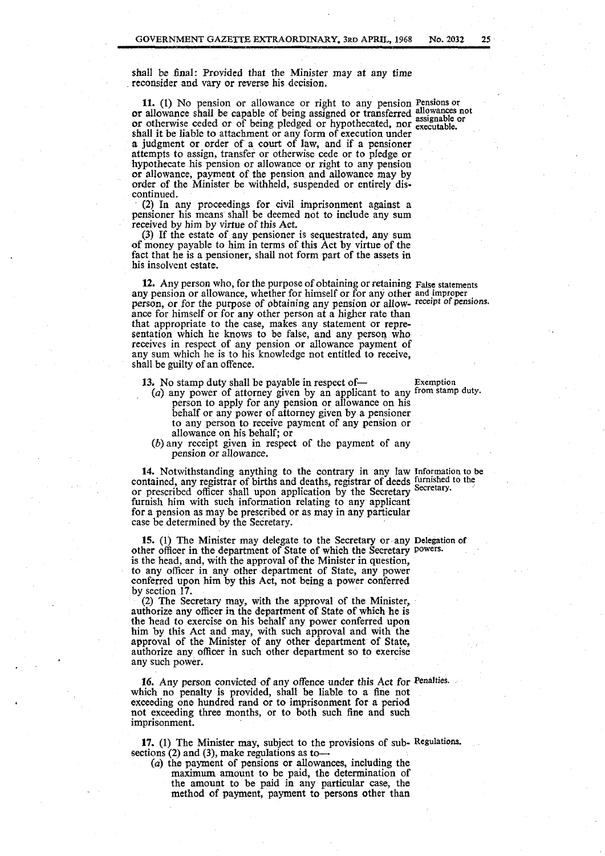shall be final: Provided that the Minister may at any time reconsider and vary or reverse his decision.

11. (1) No pension or allowance or right to any pension Pensions or or allowances not or allowances not or allowance shall be capable of being assigned or transferred assignable or<br>or otherwise ceded or of being pledged or hypothecated, nor executable.<br>shall it be liable to attachment or any form of execution under a judgment or order of a court of law, and if a pensioner attempts to assign, transfer or otherwise cede or to pledge or hypothecate his pension or allowance or right to any pension or allowance, payment of the pension and allowance may by order of the Minister be withheld, suspended or entirely discontinued.

(2) In any proceedings for civil imprisonment against a pensioner his means shall be deemed not to include any sum received by him by virtue of this Act.

(3) If the estate of any pensioner is sequestrated, any sum of money payable to him in terms of this Act by virtue of the fact that he is a pensioner, shall not form part of the assets in his insolvent estate.

12. Any person who, for the purpose of obtaining or retaining False statements any pension or allowance, whether for himself or for any other and improper person, or for the purpose of obtaining any pension or allow- receipt of pensions. ance for himself or for any other person at a higher rate than that appropriate to the case, makes any statement or representation which he knows to be false, and any persoq who receives in respect of any pension or allowance payment of any sum which he is to his knowledge not entitled to receive, shall be guilty of an offence.

13. No stamp duty shall be payable in respect of — Exemption

- (a) any power of attorney given by an applicant to any from stamp duty. **Example 1** person to apply for any pension or allowance on his behalf or any power of attorney given by a pensioner to any person to receive payment of any pension or allowance on his behalf; or
	- $(b)$  any receipt given in respect of the payment of any pension or allowance.

14. Notwithstanding anything to the contrary in any law Information to be contained, any registrar of births and deaths, registrar of deeds furnished to the or prescribed officer shall upon application by the Secretary Secretary. furnish him with such information relating to any applicant for a pension as may be prescribed or as may in any particular case be determined by the Secretary.

15. (1) The Minister may delegate to the Secretary or any Delegation of other officer in the department of State of which the Secretary powers. is the head, and, with the approval of the Minister in question, to any officer in any other department of State, any power conferred upon him by this Act, not being a power conferred by section 17.

(2) The Secretary may, with the approval of the Minister, authorize any officer in the department of State of which he is the head to exercise on his behalf any power conferred upon him by this Act and may, with such approval and with the approval of the Minister of any other department of State, authorize any officer in such other department so to exercise any such power.

16. Any person convicted of any offence under this Act for Penalties. which no penalty is provided, shall be liable to a fine not exceeding one hundred rand or to imprisonment for a period not exceeding three months, or to both such fine and such imprisonment.

17. (1) The Minister may, subject to the provisions of sub- Regulations. sections (2) and (3), make regulations as to-

(a) the payment of pensions or allowances, including the maximum amount to be paid, the determination of the amount to be paid in any particular case, the method of payment, payment to persons other than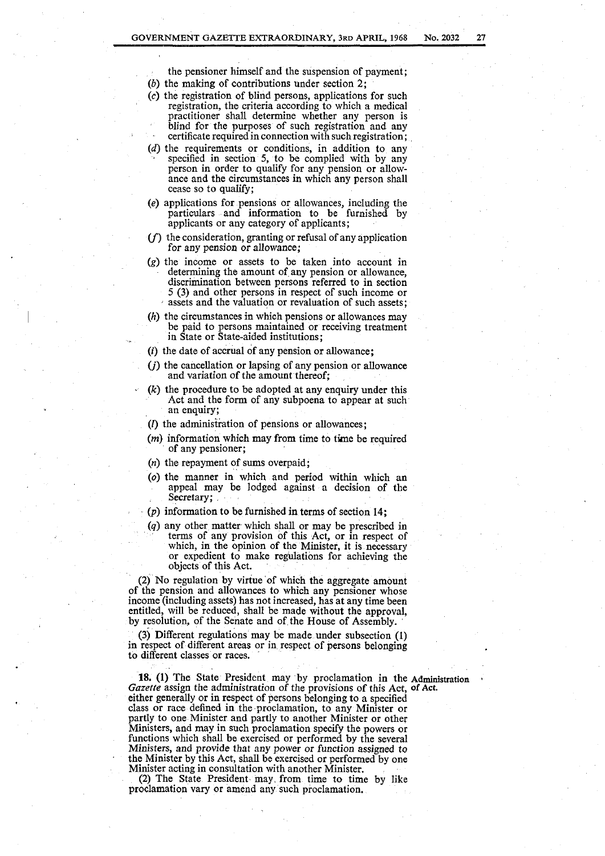the pensioner himself and the suspension of payment; (b) the making of contributions under section 2;

- *(c)* the registration of blind persons, applications for such registration, the criteria according to which a medical practitioner shall determine whether any person is blind for the purposes of such registration and any certificate required in connection with such registration; ,
- ( $d$ ) the requirements or conditions, in addition to any specified in section 5, to be complied with by any person in order to qualify for any pension or allowance and the circumstances in which any person shall cease so to qualify;
- (e) applications for pensions or allowances, including the particulars and information to be furnished by applicants or any category of applicants;
- $(f)$  the consideration, granting or refusal of any application for any pension or allowance;
- *(g)* the income or assets to be taken into account in determining the amount of any pension or allowance, discrimination between persons referred to in section 5 (3) and other persons in respect of such income or assets and the valuation or revaluation of such assets;
- (h) the circumstances in which pensions or allowances may be paid to persons maintained or receiving treatment in State or State-aided institutions;
- (i) the date of accrual of any pension or allowance;
- $(i)$  the cancellation or lapsing of any pension or allowance and variation of the amount thereof;
- (k) the procedure to be adopted at any enquiry under this Act and the form of any subpoena to appear at such an enquiry;
- (I) the administration of pensions or allowances;
- $(m)$  information which may from time to time be required of any pensioner;
- (n) the repayment of sums overpaid;
- (o) the manner in which and period within which an appeal may be lodged against a decision of the Secretary;
- $(p)$  information to be furnished in terms of section 14;
- (q) any other matter which shall or may be prescribed in terms of any provision of this Act, or in respect of which, in the opinion of the Minister, it is necessary or expedient to make regulations for achieving the objects of this Act.

(2) No regulation by virtue 'of which the aggregate amount of the pension and allowances to which any pensioner whose income (including assets) has not increased, has at any time been entitled, will be reduced, shall be made without the approval, by resolution, of the Senate and of the House of Assembly.

(3) Different regulations may be made. under subsection (1) in respect of different areas or in. respect of persons belonging to different classes or races.

18. (1) The State President may by proclamation in the Administration *Gazette* assign the administration of the provisions of this Act, of Act. either generally or in respect of persons belonging to a specified class or race defined in the proclamation, to any Minister or partly to one Minister and partly to another Minister or other Ministers, and may in such proclamation specify the powers or functions which shall be exercised or performed by the several Ministers, and provide that any power or function assigned to the Minister by this Act, shall be exercised or performed by one Minister acting in consultation with another Minister.

(2) The State President may, from time to time by like proclamation vary or amend anysuch proclamation.